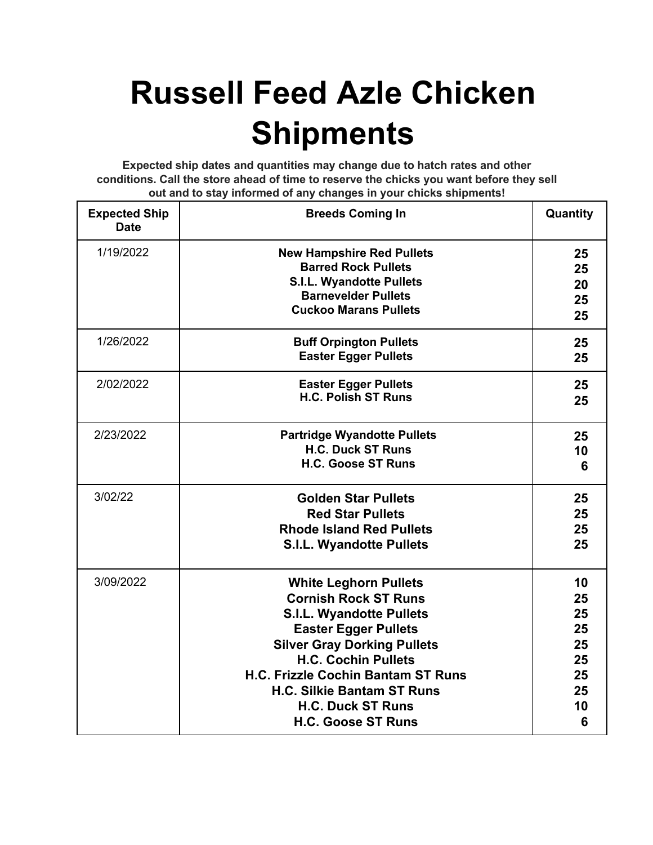## **Russell Feed Azle Chicken Shipments**

**Expected ship dates and quantities may change due to hatch rates and other conditions. Call the store ahead of time to reserve the chicks you want before they sell out and to stay informed of any changes in your chicks shipments!**

| <b>Expected Ship</b><br><b>Date</b> | <b>Breeds Coming In</b>                                                                                                                                                                                                                                                                                                                      | Quantity                                                |
|-------------------------------------|----------------------------------------------------------------------------------------------------------------------------------------------------------------------------------------------------------------------------------------------------------------------------------------------------------------------------------------------|---------------------------------------------------------|
| 1/19/2022                           | <b>New Hampshire Red Pullets</b><br><b>Barred Rock Pullets</b><br><b>S.I.L. Wyandotte Pullets</b><br><b>Barnevelder Pullets</b><br><b>Cuckoo Marans Pullets</b>                                                                                                                                                                              | 25<br>25<br>20<br>25<br>25                              |
| 1/26/2022                           | <b>Buff Orpington Pullets</b><br><b>Easter Egger Pullets</b>                                                                                                                                                                                                                                                                                 | 25<br>25                                                |
| 2/02/2022                           | <b>Easter Egger Pullets</b><br><b>H.C. Polish ST Runs</b>                                                                                                                                                                                                                                                                                    | 25<br>25                                                |
| 2/23/2022                           | <b>Partridge Wyandotte Pullets</b><br><b>H.C. Duck ST Runs</b><br><b>H.C. Goose ST Runs</b>                                                                                                                                                                                                                                                  | 25<br>10<br>6                                           |
| 3/02/22                             | <b>Golden Star Pullets</b><br><b>Red Star Pullets</b><br><b>Rhode Island Red Pullets</b><br><b>S.I.L. Wyandotte Pullets</b>                                                                                                                                                                                                                  | 25<br>25<br>25<br>25                                    |
| 3/09/2022                           | <b>White Leghorn Pullets</b><br><b>Cornish Rock ST Runs</b><br><b>S.I.L. Wyandotte Pullets</b><br><b>Easter Egger Pullets</b><br><b>Silver Gray Dorking Pullets</b><br><b>H.C. Cochin Pullets</b><br><b>H.C. Frizzle Cochin Bantam ST Runs</b><br><b>H.C. Silkie Bantam ST Runs</b><br><b>H.C. Duck ST Runs</b><br><b>H.C. Goose ST Runs</b> | 10<br>25<br>25<br>25<br>25<br>25<br>25<br>25<br>10<br>6 |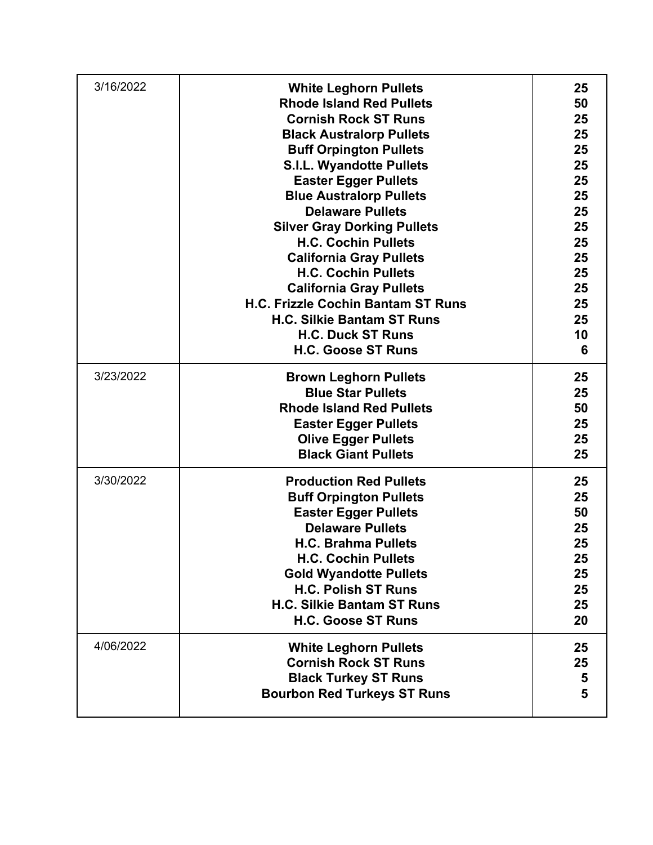| 3/16/2022 | <b>White Leghorn Pullets</b>       | 25 |
|-----------|------------------------------------|----|
|           | <b>Rhode Island Red Pullets</b>    | 50 |
|           | <b>Cornish Rock ST Runs</b>        | 25 |
|           | <b>Black Australorp Pullets</b>    | 25 |
|           | <b>Buff Orpington Pullets</b>      | 25 |
|           | <b>S.I.L. Wyandotte Pullets</b>    | 25 |
|           | <b>Easter Egger Pullets</b>        | 25 |
|           | <b>Blue Australorp Pullets</b>     | 25 |
|           | <b>Delaware Pullets</b>            | 25 |
|           | <b>Silver Gray Dorking Pullets</b> | 25 |
|           | <b>H.C. Cochin Pullets</b>         | 25 |
|           | <b>California Gray Pullets</b>     | 25 |
|           | <b>H.C. Cochin Pullets</b>         | 25 |
|           | <b>California Gray Pullets</b>     | 25 |
|           | H.C. Frizzle Cochin Bantam ST Runs | 25 |
|           | <b>H.C. Silkie Bantam ST Runs</b>  | 25 |
|           | <b>H.C. Duck ST Runs</b>           | 10 |
|           | <b>H.C. Goose ST Runs</b>          | 6  |
| 3/23/2022 | <b>Brown Leghorn Pullets</b>       | 25 |
|           | <b>Blue Star Pullets</b>           | 25 |
|           | <b>Rhode Island Red Pullets</b>    | 50 |
|           | <b>Easter Egger Pullets</b>        | 25 |
|           | <b>Olive Egger Pullets</b>         | 25 |
|           | <b>Black Giant Pullets</b>         | 25 |
| 3/30/2022 | <b>Production Red Pullets</b>      | 25 |
|           | <b>Buff Orpington Pullets</b>      | 25 |
|           | <b>Easter Egger Pullets</b>        | 50 |
|           | <b>Delaware Pullets</b>            | 25 |
|           | <b>H.C. Brahma Pullets</b>         | 25 |
|           | <b>H.C. Cochin Pullets</b>         | 25 |
|           | <b>Gold Wyandotte Pullets</b>      | 25 |
|           | <b>H.C. Polish ST Runs</b>         | 25 |
|           | <b>H.C. Silkie Bantam ST Runs</b>  | 25 |
|           | <b>H.C. Goose ST Runs</b>          | 20 |
| 4/06/2022 | <b>White Leghorn Pullets</b>       | 25 |
|           | <b>Cornish Rock ST Runs</b>        | 25 |
|           | <b>Black Turkey ST Runs</b>        | 5  |
|           | <b>Bourbon Red Turkeys ST Runs</b> | 5  |
|           |                                    |    |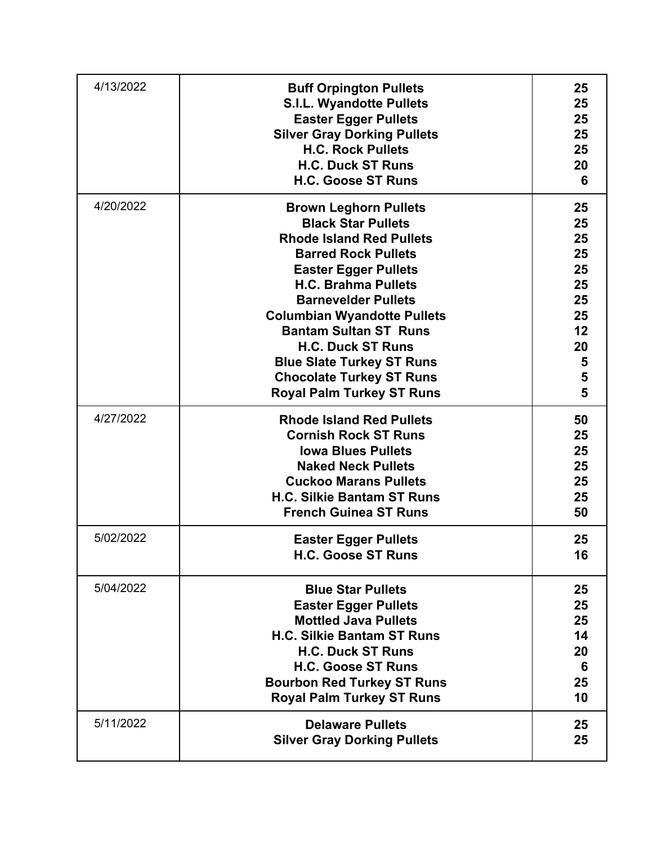| 4/13/2022 | <b>Buff Orpington Pullets</b><br><b>S.I.L. Wyandotte Pullets</b><br><b>Easter Egger Pullets</b><br><b>Silver Gray Dorking Pullets</b><br><b>H.C. Rock Pullets</b><br><b>H.C. Duck ST Runs</b><br><b>H.C. Goose ST Runs</b>                                                                                                                                                                                                         | 25<br>25<br>25<br>25<br>25<br>20<br>6                                   |
|-----------|------------------------------------------------------------------------------------------------------------------------------------------------------------------------------------------------------------------------------------------------------------------------------------------------------------------------------------------------------------------------------------------------------------------------------------|-------------------------------------------------------------------------|
| 4/20/2022 | <b>Brown Leghorn Pullets</b><br><b>Black Star Pullets</b><br><b>Rhode Island Red Pullets</b><br><b>Barred Rock Pullets</b><br><b>Easter Egger Pullets</b><br><b>H.C. Brahma Pullets</b><br><b>Barnevelder Pullets</b><br><b>Columbian Wyandotte Pullets</b><br><b>Bantam Sultan ST Runs</b><br><b>H.C. Duck ST Runs</b><br><b>Blue Slate Turkey ST Runs</b><br><b>Chocolate Turkey ST Runs</b><br><b>Royal Palm Turkey ST Runs</b> | 25<br>25<br>25<br>25<br>25<br>25<br>25<br>25<br>12<br>20<br>5<br>5<br>5 |
| 4/27/2022 | <b>Rhode Island Red Pullets</b><br><b>Cornish Rock ST Runs</b><br><b>Iowa Blues Pullets</b><br><b>Naked Neck Pullets</b><br><b>Cuckoo Marans Pullets</b><br><b>H.C. Silkie Bantam ST Runs</b><br><b>French Guinea ST Runs</b>                                                                                                                                                                                                      | 50<br>25<br>25<br>25<br>25<br>25<br>50                                  |
| 5/02/2022 | <b>Easter Egger Pullets</b><br><b>H.C. Goose ST Runs</b>                                                                                                                                                                                                                                                                                                                                                                           | 25<br>16                                                                |
| 5/04/2022 | <b>Blue Star Pullets</b><br><b>Easter Egger Pullets</b><br><b>Mottled Java Pullets</b><br><b>H.C. Silkie Bantam ST Runs</b><br><b>H.C. Duck ST Runs</b><br><b>H.C. Goose ST Runs</b><br><b>Bourbon Red Turkey ST Runs</b><br><b>Royal Palm Turkey ST Runs</b>                                                                                                                                                                      | 25<br>25<br>25<br>14<br>20<br>6<br>25<br>10                             |
| 5/11/2022 | <b>Delaware Pullets</b><br><b>Silver Gray Dorking Pullets</b>                                                                                                                                                                                                                                                                                                                                                                      | 25<br>25                                                                |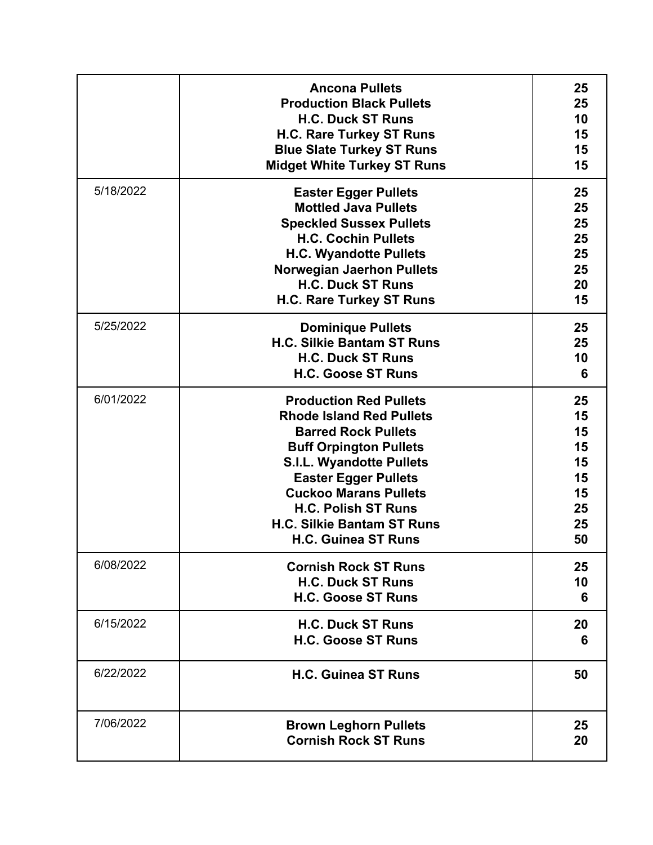|           | <b>Ancona Pullets</b><br><b>Production Black Pullets</b><br><b>H.C. Duck ST Runs</b><br><b>H.C. Rare Turkey ST Runs</b><br><b>Blue Slate Turkey ST Runs</b><br><b>Midget White Turkey ST Runs</b>                                                                                                                                  | 25<br>25<br>10<br>15<br>15<br>15                         |
|-----------|------------------------------------------------------------------------------------------------------------------------------------------------------------------------------------------------------------------------------------------------------------------------------------------------------------------------------------|----------------------------------------------------------|
| 5/18/2022 | <b>Easter Egger Pullets</b><br><b>Mottled Java Pullets</b><br><b>Speckled Sussex Pullets</b><br><b>H.C. Cochin Pullets</b><br><b>H.C. Wyandotte Pullets</b><br><b>Norwegian Jaerhon Pullets</b><br><b>H.C. Duck ST Runs</b><br><b>H.C. Rare Turkey ST Runs</b>                                                                     | 25<br>25<br>25<br>25<br>25<br>25<br>20<br>15             |
| 5/25/2022 | <b>Dominique Pullets</b><br><b>H.C. Silkie Bantam ST Runs</b><br><b>H.C. Duck ST Runs</b><br><b>H.C. Goose ST Runs</b>                                                                                                                                                                                                             | 25<br>25<br>10<br>6                                      |
| 6/01/2022 | <b>Production Red Pullets</b><br><b>Rhode Island Red Pullets</b><br><b>Barred Rock Pullets</b><br><b>Buff Orpington Pullets</b><br><b>S.I.L. Wyandotte Pullets</b><br><b>Easter Egger Pullets</b><br><b>Cuckoo Marans Pullets</b><br><b>H.C. Polish ST Runs</b><br><b>H.C. Silkie Bantam ST Runs</b><br><b>H.C. Guinea ST Runs</b> | 25<br>15<br>15<br>15<br>15<br>15<br>15<br>25<br>25<br>50 |
| 6/08/2022 | <b>Cornish Rock ST Runs</b><br><b>H.C. Duck ST Runs</b><br><b>H.C. Goose ST Runs</b>                                                                                                                                                                                                                                               | 25<br>10<br>6                                            |
| 6/15/2022 | <b>H.C. Duck ST Runs</b><br><b>H.C. Goose ST Runs</b>                                                                                                                                                                                                                                                                              | 20<br>6                                                  |
| 6/22/2022 | <b>H.C. Guinea ST Runs</b>                                                                                                                                                                                                                                                                                                         | 50                                                       |
| 7/06/2022 | <b>Brown Leghorn Pullets</b><br><b>Cornish Rock ST Runs</b>                                                                                                                                                                                                                                                                        | 25<br>20                                                 |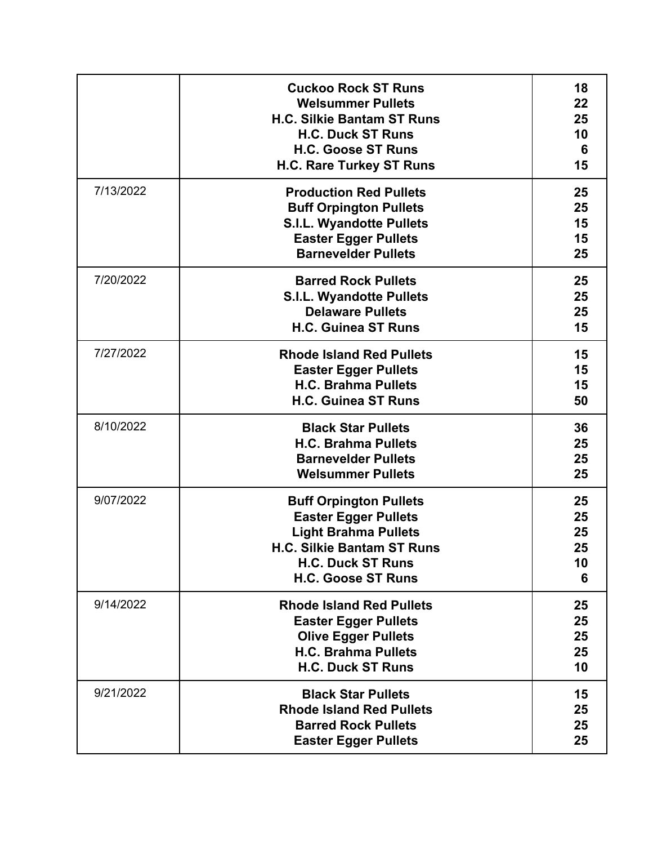|           | <b>Cuckoo Rock ST Runs</b><br><b>Welsummer Pullets</b><br><b>H.C. Silkie Bantam ST Runs</b><br><b>H.C. Duck ST Runs</b><br><b>H.C. Goose ST Runs</b><br><b>H.C. Rare Turkey ST Runs</b> | 18<br>22<br>25<br>10<br>6<br>15 |
|-----------|-----------------------------------------------------------------------------------------------------------------------------------------------------------------------------------------|---------------------------------|
| 7/13/2022 | <b>Production Red Pullets</b><br><b>Buff Orpington Pullets</b><br><b>S.I.L. Wyandotte Pullets</b><br><b>Easter Egger Pullets</b><br><b>Barnevelder Pullets</b>                          | 25<br>25<br>15<br>15<br>25      |
| 7/20/2022 | <b>Barred Rock Pullets</b><br><b>S.I.L. Wyandotte Pullets</b><br><b>Delaware Pullets</b><br><b>H.C. Guinea ST Runs</b>                                                                  | 25<br>25<br>25<br>15            |
| 7/27/2022 | <b>Rhode Island Red Pullets</b><br><b>Easter Egger Pullets</b><br><b>H.C. Brahma Pullets</b><br><b>H.C. Guinea ST Runs</b>                                                              | 15<br>15<br>15<br>50            |
| 8/10/2022 | <b>Black Star Pullets</b><br><b>H.C. Brahma Pullets</b><br><b>Barnevelder Pullets</b><br><b>Welsummer Pullets</b>                                                                       | 36<br>25<br>25<br>25            |
| 9/07/2022 | <b>Buff Orpington Pullets</b><br><b>Easter Egger Pullets</b><br><b>Light Brahma Pullets</b><br>H.C. Silkie Bantam ST Runs<br><b>H.C. Duck ST Runs</b><br><b>H.C. Goose ST Runs</b>      | 25<br>25<br>25<br>25<br>10<br>6 |
| 9/14/2022 | <b>Rhode Island Red Pullets</b><br><b>Easter Egger Pullets</b><br><b>Olive Egger Pullets</b><br><b>H.C. Brahma Pullets</b><br><b>H.C. Duck ST Runs</b>                                  | 25<br>25<br>25<br>25<br>10      |
| 9/21/2022 | <b>Black Star Pullets</b><br><b>Rhode Island Red Pullets</b><br><b>Barred Rock Pullets</b><br><b>Easter Egger Pullets</b>                                                               | 15<br>25<br>25<br>25            |